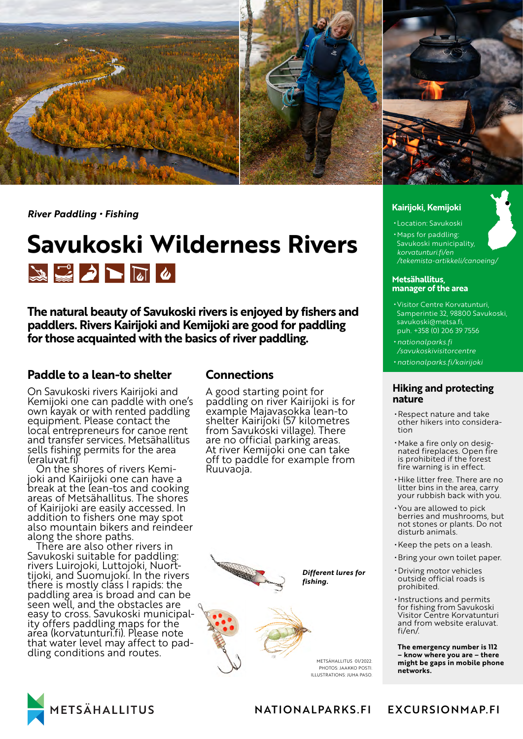

*River Paddling • Fishing*

## **Savukoski Wilderness Rivers**  $\frac{1}{2}$

**The natural beauty of Savukoski rivers is enjoyed by fishers and paddlers. Rivers Kairijoki and Kemijoki are good for paddling for those acquainted with the basics of river paddling.**

### **Paddle to a lean-to shelter**

On Savukoski rivers Kairijoki and Kemijoki one can paddle with one's own kayak or with rented paddling equipment. Please contact the local entrepreneurs for canoe rent and transfer services. Metsähallitus sells fishing permits for the area (eraluvat.fi)

joki and Kairijoki one can have a break at the lean-tos and cooking areas of Metsähallitus. The shores of Kairijoki are easily accessed. In addition to fishers one may spot also mountain bikers and reindeer along the shore paths.

There are also other rivers in Savukoski suitable for paddling:<br>rivers Luirojoki, Luttojoki, Nuorttijoki, and Suomujoki. In the rivers there is mostly class I rapids: the paddling area is broad and can be seen well, and the obstacles are easy to cross. Savukoski municipal- ity offers paddling maps for the area (korvatunturi.fi). Please note that water level may affect to pad- dling conditions and routes.

## **Connections**

A good starting point for paddling on river Kairijoki is for example Majavasokka lean-to shelter Kairijoki (57 kilometres from Savukoski village). There are no official parking areas. At river Kemijoki one can take off to paddle for example from Ruuvaoja.





METSÄHALLITUS 01/2022 PHOTOS: JAAKKO POSTI. ILLUSTRATIONS: JUHA PASO.

**Kairijoki, Kemijoki** 

- Location: Savukoski
- Maps for paddling: Savukoski municipality,
- *[korvatunturi.fi/en](https://korvatunturi.fi/en/tekemista-artikkeli/canoeing/ ) [/tekemista-artikkeli/canoeing/](https://korvatunturi.fi/en/tekemista-artikkeli/canoeing/ )*

#### **Metsähallitus, manager of the area**

- •Visitor Centre Korvatunturi, Samperintie 32, 98800 Savukoski, savukoski@metsa.fi, puh. +358 (0) 206 39 7556
- *[nationalparks.fi](https://nationalparks.fi/savukoskivisitorcentre) [/savukoskivisitorcentre](https://nationalparks.fi/savukoskivisitorcentre)*
- *[nationalparks.fi/kairijoki](https://nationalparks.fi/kairijoki)*

### **Hiking and protecting nature**

- •Respect nature and take other hikers into considera- tion
- •Make a fire only on designated fireplaces. Open fire is prohibited if the forest fire warning is in effect.
- •Hike litter free. There are no litter bins in the area, carry your rubbish back with you.
- •You are allowed to pick berries and mushrooms, but not stones or plants. Do not disturb animals.
- •Keep the pets on a leash.
- •Bring your own toilet paper.
- •Driving motor vehicles outside official roads is prohibited.

•Instructions and permits for fishing from Savukoski Visitor Centre Korvatunturi and from website eraluvat. fi/en/.

**The emergency number is 112 – know where you are – there might be gaps in mobile phone networks.**



## NATIONALPARKS FI FXCURSIONMAP FI